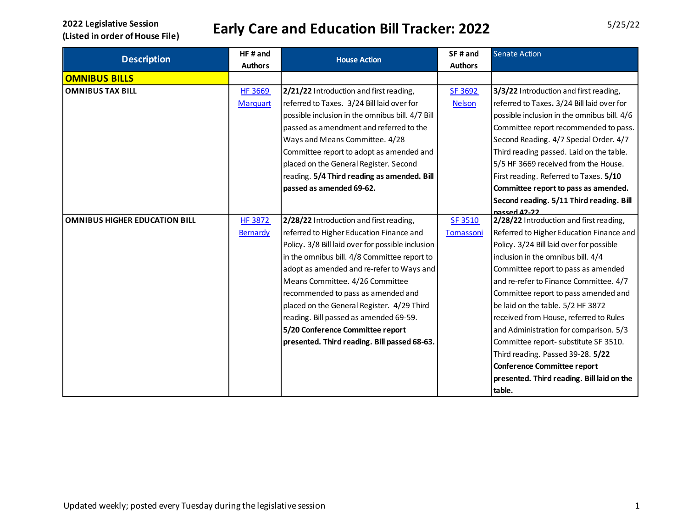| <b>Description</b>                   | HF# and         | <b>House Action</b>                               | SF# and        | <b>Senate Action</b>                        |
|--------------------------------------|-----------------|---------------------------------------------------|----------------|---------------------------------------------|
|                                      | <b>Authors</b>  |                                                   | <b>Authors</b> |                                             |
| <b>OMNIBUS BILLS</b>                 |                 |                                                   |                |                                             |
| <b>OMNIBUS TAX BILL</b>              | <b>HF 3669</b>  | 2/21/22 Introduction and first reading,           | SF 3692        | 3/3/22 Introduction and first reading,      |
|                                      | <b>Marquart</b> | referred to Taxes. 3/24 Bill laid over for        | <b>Nelson</b>  | referred to Taxes. 3/24 Bill laid over for  |
|                                      |                 | possible inclusion in the omnibus bill. 4/7 Bill  |                | possible inclusion in the omnibus bill. 4/6 |
|                                      |                 | passed as amendment and referred to the           |                | Committee report recommended to pass.       |
|                                      |                 | Ways and Means Committee. 4/28                    |                | Second Reading. 4/7 Special Order. 4/7      |
|                                      |                 | Committee report to adopt as amended and          |                | Third reading passed. Laid on the table.    |
|                                      |                 | placed on the General Register. Second            |                | 5/5 HF 3669 received from the House.        |
|                                      |                 | reading. 5/4 Third reading as amended. Bill       |                | First reading. Referred to Taxes. 5/10      |
|                                      |                 | passed as amended 69-62.                          |                | Committee report to pass as amended.        |
|                                      |                 |                                                   |                | Second reading. 5/11 Third reading. Bill    |
|                                      |                 |                                                   |                | nassed 42.22                                |
| <b>OMNIBUS HIGHER EDUCATION BILL</b> | <b>HF 3872</b>  | 2/28/22 Introduction and first reading,           | SF 3510        | 2/28/22 Introduction and first reading,     |
|                                      | Bernardy        | referred to Higher Education Finance and          | Tomassoni      | Referred to Higher Education Finance and    |
|                                      |                 | Policy. 3/8 Bill laid over for possible inclusion |                | Policy. 3/24 Bill laid over for possible    |
|                                      |                 | in the omnibus bill. 4/8 Committee report to      |                | inclusion in the omnibus bill. 4/4          |
|                                      |                 | adopt as amended and re-refer to Ways and         |                | Committee report to pass as amended         |
|                                      |                 | Means Committee. 4/26 Committee                   |                | and re-refer to Finance Committee. 4/7      |
|                                      |                 | recommended to pass as amended and                |                | Committee report to pass amended and        |
|                                      |                 | placed on the General Register. 4/29 Third        |                | be laid on the table. 5/2 HF 3872           |
|                                      |                 | reading. Bill passed as amended 69-59.            |                | received from House, referred to Rules      |
|                                      |                 | 5/20 Conference Committee report                  |                | and Administration for comparison. 5/3      |
|                                      |                 | presented. Third reading. Bill passed 68-63.      |                | Committee report- substitute SF 3510.       |
|                                      |                 |                                                   |                | Third reading. Passed 39-28. 5/22           |
|                                      |                 |                                                   |                | <b>Conference Committee report</b>          |
|                                      |                 |                                                   |                | presented. Third reading. Bill laid on the  |
|                                      |                 |                                                   |                | table.                                      |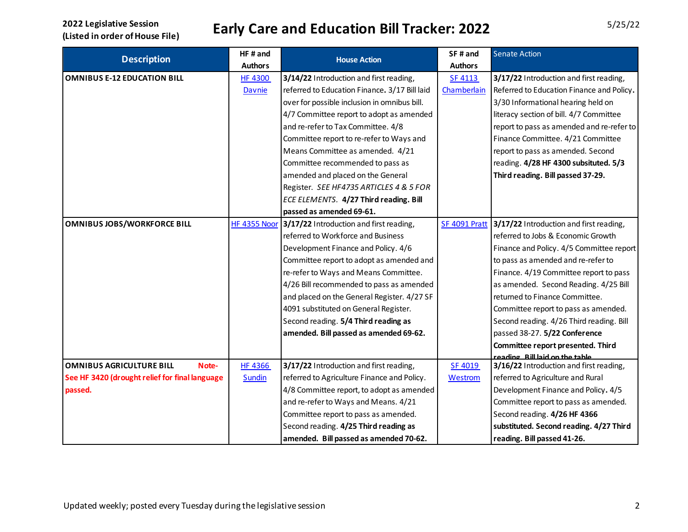|                                                | HF# and             |                                               | SF# and        | <b>Senate Action</b>                      |
|------------------------------------------------|---------------------|-----------------------------------------------|----------------|-------------------------------------------|
| <b>Description</b>                             | <b>Authors</b>      | <b>House Action</b>                           | <b>Authors</b> |                                           |
| <b>OMNIBUS E-12 EDUCATION BILL</b>             | <b>HF 4300</b>      | 3/14/22 Introduction and first reading,       | <b>SF 4113</b> | 3/17/22 Introduction and first reading,   |
|                                                | Davnie              | referred to Education Finance. 3/17 Bill laid | Chamberlain    | Referred to Education Finance and Policy. |
|                                                |                     | over for possible inclusion in omnibus bill.  |                | 3/30 Informational hearing held on        |
|                                                |                     | 4/7 Committee report to adopt as amended      |                | literacy section of bill. 4/7 Committee   |
|                                                |                     | and re-refer to Tax Committee. 4/8            |                | report to pass as amended and re-refer to |
|                                                |                     | Committee report to re-refer to Ways and      |                | Finance Committee. 4/21 Committee         |
|                                                |                     | Means Committee as amended. 4/21              |                | report to pass as amended. Second         |
|                                                |                     | Committee recommended to pass as              |                | reading. 4/28 HF 4300 subsituted. 5/3     |
|                                                |                     | amended and placed on the General             |                | Third reading. Bill passed 37-29.         |
|                                                |                     | Register. SEE HF4735 ARTICLES 4 & 5 FOR       |                |                                           |
|                                                |                     | ECE ELEMENTS. 4/27 Third reading. Bill        |                |                                           |
|                                                |                     | passed as amended 69-61.                      |                |                                           |
| <b>OMNIBUS JOBS/WORKFORCE BILL</b>             | <b>HF 4355 Noor</b> | 3/17/22 Introduction and first reading,       | SF 4091 Pratt  | 3/17/22 Introduction and first reading,   |
|                                                |                     | referred to Workforce and Business            |                | referred to Jobs & Economic Growth        |
|                                                |                     | Development Finance and Policy. 4/6           |                | Finance and Policy. 4/5 Committee report  |
|                                                |                     | Committee report to adopt as amended and      |                | to pass as amended and re-refer to        |
|                                                |                     | re-refer to Ways and Means Committee.         |                | Finance. 4/19 Committee report to pass    |
|                                                |                     | 4/26 Bill recommended to pass as amended      |                | as amended. Second Reading. 4/25 Bill     |
|                                                |                     | and placed on the General Register. 4/27 SF   |                | returned to Finance Committee.            |
|                                                |                     | 4091 substituted on General Register.         |                | Committee report to pass as amended.      |
|                                                |                     | Second reading. 5/4 Third reading as          |                | Second reading. 4/26 Third reading. Bill  |
|                                                |                     | amended. Bill passed as amended 69-62.        |                | passed 38-27. 5/22 Conference             |
|                                                |                     |                                               |                | Committee report presented. Third         |
|                                                |                     |                                               |                | reading Rill laid on the table            |
| <b>OMNIBUS AGRICULTURE BILL</b><br>Note-       | <b>HF 4366</b>      | 3/17/22 Introduction and first reading,       | SF 4019        | 3/16/22 Introduction and first reading,   |
| See HF 3420 (drought relief for final language | <b>Sundin</b>       | referred to Agriculture Finance and Policy.   | <b>Westrom</b> | referred to Agriculture and Rural         |
| passed.                                        |                     | 4/8 Committee report, to adopt as amended     |                | Development Finance and Policy. 4/5       |
|                                                |                     | and re-refer to Ways and Means. 4/21          |                | Committee report to pass as amended.      |
|                                                |                     | Committee report to pass as amended.          |                | Second reading. 4/26 HF 4366              |
|                                                |                     | Second reading. 4/25 Third reading as         |                | substituted. Second reading. 4/27 Third   |
|                                                |                     | amended. Bill passed as amended 70-62.        |                | reading. Bill passed 41-26.               |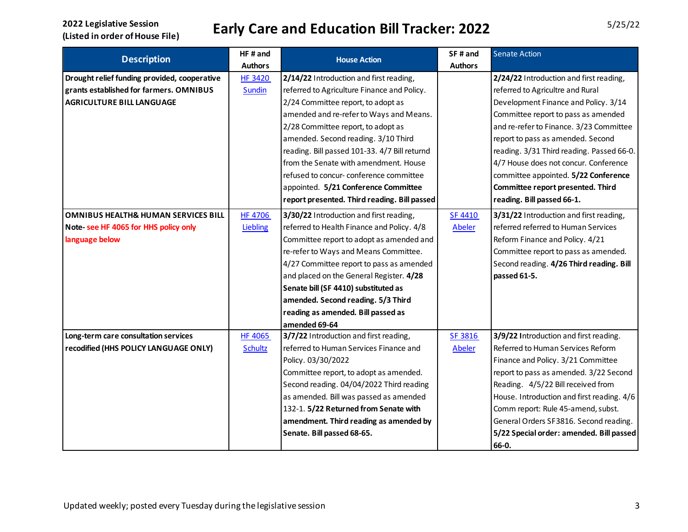| <b>Description</b>                             | HF# and        |                                               | SF# and        | <b>Senate Action</b>                       |
|------------------------------------------------|----------------|-----------------------------------------------|----------------|--------------------------------------------|
|                                                | <b>Authors</b> | <b>House Action</b>                           | <b>Authors</b> |                                            |
| Drought relief funding provided, cooperative   | <b>HF 3420</b> | 2/14/22 Introduction and first reading,       |                | 2/24/22 Introduction and first reading,    |
| grants established for farmers. OMNIBUS        | Sundin         | referred to Agriculture Finance and Policy.   |                | referred to Agricultre and Rural           |
| <b>AGRICULTURE BILL LANGUAGE</b>               |                | 2/24 Committee report, to adopt as            |                | Development Finance and Policy. 3/14       |
|                                                |                | amended and re-refer to Ways and Means.       |                | Committee report to pass as amended        |
|                                                |                | 2/28 Committee report, to adopt as            |                | and re-refer to Finance. 3/23 Committee    |
|                                                |                | amended. Second reading. 3/10 Third           |                | report to pass as amended. Second          |
|                                                |                | reading. Bill passed 101-33. 4/7 Bill returnd |                | reading. 3/31 Third reading. Passed 66-0.  |
|                                                |                | from the Senate with amendment. House         |                | 4/7 House does not concur. Conference      |
|                                                |                | refused to concur-conference committee        |                | committee appointed. 5/22 Conference       |
|                                                |                | appointed. 5/21 Conference Committee          |                | Committee report presented. Third          |
|                                                |                | report presented. Third reading. Bill passed  |                | reading. Bill passed 66-1.                 |
| <b>OMNIBUS HEALTH&amp; HUMAN SERVICES BILL</b> | <b>HF 4706</b> | 3/30/22 Introduction and first reading,       | <b>SF 4410</b> | 3/31/22 Introduction and first reading,    |
| Note- see HF 4065 for HHS policy only          | Liebling       | referred to Health Finance and Policy. 4/8    | <b>Abeler</b>  | referred referred to Human Services        |
| language below                                 |                | Committee report to adopt as amended and      |                | Reform Finance and Policy. 4/21            |
|                                                |                | re-refer to Ways and Means Committee.         |                | Committee report to pass as amended.       |
|                                                |                | 4/27 Committee report to pass as amended      |                | Second reading. 4/26 Third reading. Bill   |
|                                                |                | and placed on the General Register. 4/28      |                | passed 61-5.                               |
|                                                |                | Senate bill (SF 4410) substituted as          |                |                                            |
|                                                |                | amended. Second reading. 5/3 Third            |                |                                            |
|                                                |                | reading as amended. Bill passed as            |                |                                            |
|                                                |                | amended 69-64                                 |                |                                            |
| Long-term care consultation services           | <b>HF 4065</b> | 3/7/22 Introduction and first reading,        | SF 3816        | 3/9/22 Introduction and first reading.     |
| recodified (HHS POLICY LANGUAGE ONLY)          | <b>Schultz</b> | referred to Human Services Finance and        | <b>Abeler</b>  | Referred to Human Services Reform          |
|                                                |                | Policy. 03/30/2022                            |                | Finance and Policy. 3/21 Committee         |
|                                                |                | Committee report, to adopt as amended.        |                | report to pass as amended. 3/22 Second     |
|                                                |                | Second reading. 04/04/2022 Third reading      |                | Reading. 4/5/22 Bill received from         |
|                                                |                | as amended. Bill was passed as amended        |                | House. Introduction and first reading. 4/6 |
|                                                |                | 132-1. 5/22 Returned from Senate with         |                | Comm report: Rule 45-amend, subst.         |
|                                                |                | amendment. Third reading as amended by        |                | General Orders SF3816. Second reading.     |
|                                                |                | Senate. Bill passed 68-65.                    |                | 5/22 Special order: amended. Bill passed   |
|                                                |                |                                               |                | 66-0.                                      |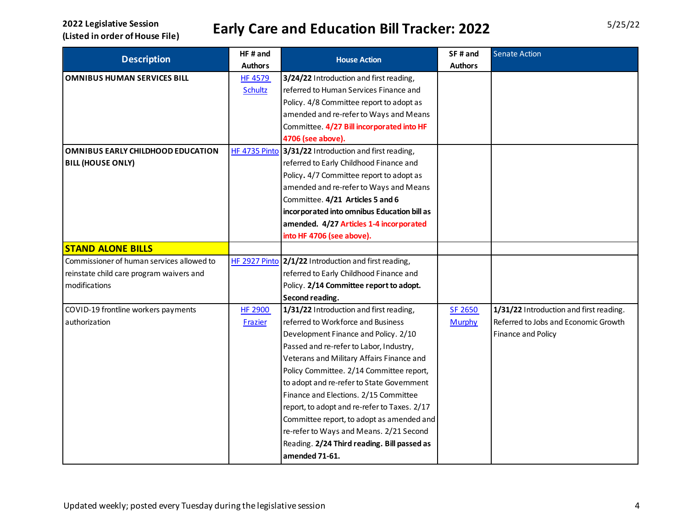|                                           | HF# and        | <b>House Action</b>                                   | SF# and        | <b>Senate Action</b>                    |
|-------------------------------------------|----------------|-------------------------------------------------------|----------------|-----------------------------------------|
| <b>Description</b>                        | <b>Authors</b> |                                                       | <b>Authors</b> |                                         |
| <b>OMNIBUS HUMAN SERVICES BILL</b>        | <b>HF 4579</b> | 3/24/22 Introduction and first reading,               |                |                                         |
|                                           | <b>Schultz</b> | referred to Human Services Finance and                |                |                                         |
|                                           |                | Policy. 4/8 Committee report to adopt as              |                |                                         |
|                                           |                | amended and re-refer to Ways and Means                |                |                                         |
|                                           |                | Committee. 4/27 Bill incorporated into HF             |                |                                         |
|                                           |                | 4706 (see above).                                     |                |                                         |
| OMNIBUS EARLY CHILDHOOD EDUCATION         |                | HF 4735 Pinto 3/31/22 Introduction and first reading, |                |                                         |
| <b>BILL (HOUSE ONLY)</b>                  |                | referred to Early Childhood Finance and               |                |                                         |
|                                           |                | Policy. 4/7 Committee report to adopt as              |                |                                         |
|                                           |                | amended and re-refer to Ways and Means                |                |                                         |
|                                           |                | Committee. 4/21 Articles 5 and 6                      |                |                                         |
|                                           |                | incorporated into omnibus Education bill as           |                |                                         |
|                                           |                | amended. 4/27 Articles 1-4 incorporated               |                |                                         |
|                                           |                | into HF 4706 (see above).                             |                |                                         |
| <b>STAND ALONE BILLS</b>                  |                |                                                       |                |                                         |
| Commissioner of human services allowed to | HF 2927 Pinto  | 2/1/22 Introduction and first reading,                |                |                                         |
| reinstate child care program waivers and  |                | referred to Early Childhood Finance and               |                |                                         |
| modifications                             |                | Policy. 2/14 Committee report to adopt.               |                |                                         |
|                                           |                | Second reading.                                       |                |                                         |
| COVID-19 frontline workers payments       | <b>HF 2900</b> | 1/31/22 Introduction and first reading,               | SF 2650        | 1/31/22 Introduction and first reading. |
| authorization                             | Frazier        | referred to Workforce and Business                    | <b>Murphy</b>  | Referred to Jobs and Economic Growth    |
|                                           |                | Development Finance and Policy. 2/10                  |                | Finance and Policy                      |
|                                           |                | Passed and re-refer to Labor, Industry,               |                |                                         |
|                                           |                | Veterans and Military Affairs Finance and             |                |                                         |
|                                           |                | Policy Committee. 2/14 Committee report,              |                |                                         |
|                                           |                | to adopt and re-refer to State Government             |                |                                         |
|                                           |                | Finance and Elections. 2/15 Committee                 |                |                                         |
|                                           |                | report, to adopt and re-refer to Taxes. 2/17          |                |                                         |
|                                           |                | Committee report, to adopt as amended and             |                |                                         |
|                                           |                | re-refer to Ways and Means. 2/21 Second               |                |                                         |
|                                           |                | Reading. 2/24 Third reading. Bill passed as           |                |                                         |
|                                           |                | amended 71-61.                                        |                |                                         |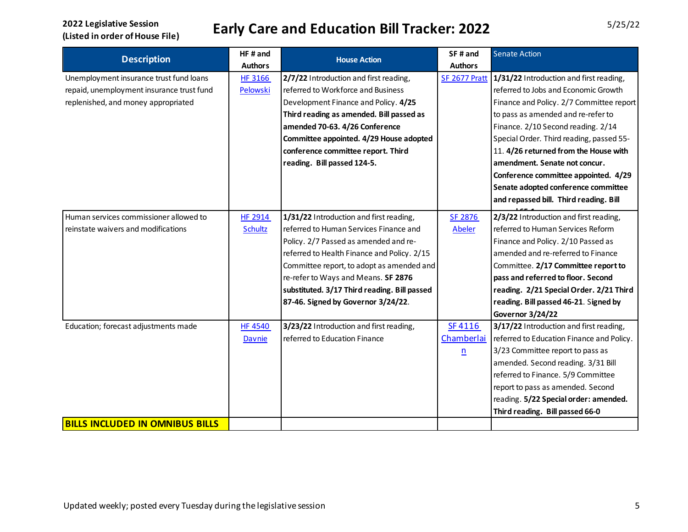| <b>Description</b>                        | HF# and        | <b>House Action</b>                          | SF# and         | <b>Senate Action</b>                      |
|-------------------------------------------|----------------|----------------------------------------------|-----------------|-------------------------------------------|
|                                           | <b>Authors</b> |                                              | <b>Authors</b>  |                                           |
| Unemployment insurance trust fund loans   | <b>HF 3166</b> | 2/7/22 Introduction and first reading,       | SF 2677 Pratt   | 1/31/22 Introduction and first reading,   |
| repaid, unemployment insurance trust fund | Pelowski       | referred to Workforce and Business           |                 | referred to Jobs and Economic Growth      |
| replenished, and money appropriated       |                | Development Finance and Policy. 4/25         |                 | Finance and Policy. 2/7 Committee report  |
|                                           |                | Third reading as amended. Bill passed as     |                 | to pass as amended and re-refer to        |
|                                           |                | amended 70-63. 4/26 Conference               |                 | Finance. 2/10 Second reading. 2/14        |
|                                           |                | Committee appointed. 4/29 House adopted      |                 | Special Order. Third reading, passed 55-  |
|                                           |                | conference committee report. Third           |                 | 11. 4/26 returned from the House with     |
|                                           |                | reading. Bill passed 124-5.                  |                 | amendment. Senate not concur.             |
|                                           |                |                                              |                 | Conference committee appointed. 4/29      |
|                                           |                |                                              |                 | Senate adopted conference committee       |
|                                           |                |                                              |                 | and repassed bill. Third reading. Bill    |
| Human services commissioner allowed to    | HF 2914        | 1/31/22 Introduction and first reading,      | SF 2876         | 2/3/22 Introduction and first reading,    |
| reinstate waivers and modifications       | <b>Schultz</b> | referred to Human Services Finance and       | Abeler          | referred to Human Services Reform         |
|                                           |                | Policy. 2/7 Passed as amended and re-        |                 | Finance and Policy. 2/10 Passed as        |
|                                           |                | referred to Health Finance and Policy. 2/15  |                 | amended and re-referred to Finance        |
|                                           |                | Committee report, to adopt as amended and    |                 | Committee. 2/17 Committee report to       |
|                                           |                | re-refer to Ways and Means. SF 2876          |                 | pass and referred to floor. Second        |
|                                           |                | substituted. 3/17 Third reading. Bill passed |                 | reading. 2/21 Special Order. 2/21 Third   |
|                                           |                | 87-46. Signed by Governor 3/24/22.           |                 | reading. Bill passed 46-21. Signed by     |
|                                           |                |                                              |                 | Governor 3/24/22                          |
| Education; forecast adjustments made      | <b>HF 4540</b> | 3/23/22 Introduction and first reading,      | SF4116          | 3/17/22 Introduction and first reading,   |
|                                           | Davnie         | referred to Education Finance                | Chamberlai      | referred to Education Finance and Policy. |
|                                           |                |                                              | $\underline{n}$ | 3/23 Committee report to pass as          |
|                                           |                |                                              |                 | amended. Second reading. 3/31 Bill        |
|                                           |                |                                              |                 | referred to Finance. 5/9 Committee        |
|                                           |                |                                              |                 | report to pass as amended. Second         |
|                                           |                |                                              |                 | reading. 5/22 Special order: amended.     |
|                                           |                |                                              |                 | Third reading. Bill passed 66-0           |
| <b>BILLS INCLUDED IN OMNIBUS BILLS</b>    |                |                                              |                 |                                           |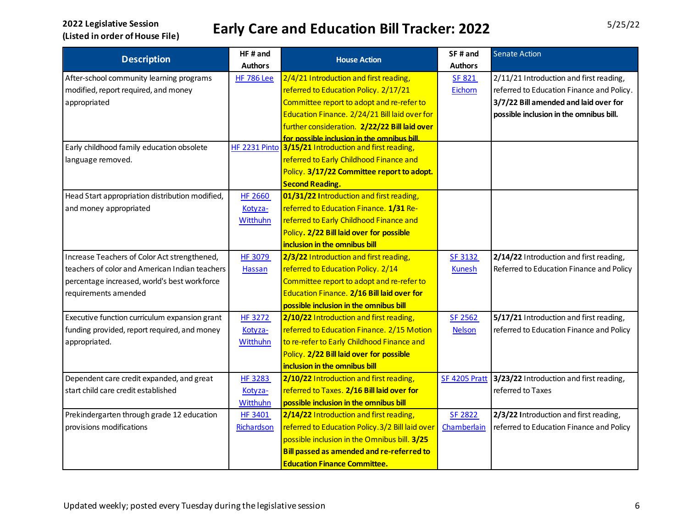| <b>Description</b>                              | HF# and           | <b>House Action</b>                                   | SF# and        | <b>Senate Action</b>                      |
|-------------------------------------------------|-------------------|-------------------------------------------------------|----------------|-------------------------------------------|
|                                                 | <b>Authors</b>    |                                                       | <b>Authors</b> |                                           |
| After-school community learning programs        | <b>HF 786 Lee</b> | 2/4/21 Introduction and first reading,                | <b>SF 821</b>  | 2/11/21 Introduction and first reading,   |
| modified, report required, and money            |                   | referred to Education Policy. 2/17/21                 | Eichorn        | referred to Education Finance and Policy. |
| appropriated                                    |                   | Committee report to adopt and re-refer to             |                | 3/7/22 Bill amended and laid over for     |
|                                                 |                   | Education Finance. 2/24/21 Bill laid over for         |                | possible inclusion in the omnibus bill.   |
|                                                 |                   | further consideration. 2/22/22 Bill laid over         |                |                                           |
|                                                 |                   | for possible inclusion in the omnibus bill.           |                |                                           |
| Early childhood family education obsolete       |                   | HF 2231 Pinto 3/15/21 Introduction and first reading, |                |                                           |
| language removed.                               |                   | referred to Early Childhood Finance and               |                |                                           |
|                                                 |                   | Policy. 3/17/22 Committee report to adopt.            |                |                                           |
|                                                 |                   | <b>Second Reading.</b>                                |                |                                           |
| Head Start appropriation distribution modified, | <b>HF 2660</b>    | 01/31/22 Introduction and first reading,              |                |                                           |
| and money appropriated                          | Kotyza-           | referred to Education Finance. 1/31 Re-               |                |                                           |
|                                                 | Witthuhn          | referred to Early Childhood Finance and               |                |                                           |
|                                                 |                   | Policy. 2/22 Bill laid over for possible              |                |                                           |
|                                                 |                   | inclusion in the omnibus bill                         |                |                                           |
| Increase Teachers of Color Act strengthened,    | <b>HF 3079</b>    | 2/3/22 Introduction and first reading,                | <b>SF 3132</b> | 2/14/22 Introduction and first reading,   |
| teachers of color and American Indian teachers  | Hassan            | referred to Education Policy. 2/14                    | <b>Kunesh</b>  | Referred to Education Finance and Policy  |
| percentage increased, world's best workforce    |                   | Committee report to adopt and re-refer to             |                |                                           |
| requirements amended                            |                   | Education Finance. 2/16 Bill laid over for            |                |                                           |
|                                                 |                   | possible inclusion in the omnibus bill                |                |                                           |
| Executive function curriculum expansion grant   | HF 3272           | 2/10/22 Introduction and first reading,               | SF 2562        | 5/17/21 Introduction and first reading,   |
| funding provided, report required, and money    | Kotyza-           | referred to Education Finance. 2/15 Motion            | <b>Nelson</b>  | referred to Education Finance and Policy  |
| appropriated.                                   | <b>Witthuhn</b>   | to re-refer to Early Childhood Finance and            |                |                                           |
|                                                 |                   | Policy. 2/22 Bill laid over for possible              |                |                                           |
|                                                 |                   | inclusion in the omnibus bill                         |                |                                           |
| Dependent care credit expanded, and great       | <b>HF 3283</b>    | 2/10/22 Introduction and first reading,               | SF 4205 Pratt  | 3/23/22 Introduction and first reading,   |
| start child care credit established             | Kotyza-           | referred to Taxes. 2/16 Bill laid over for            |                | referred to Taxes                         |
|                                                 | Witthuhn          | possible inclusion in the omnibus bill                |                |                                           |
| Prekindergarten through grade 12 education      | <b>HF 3401</b>    | 2/14/22 Introduction and first reading,               | SF 2822        | 2/3/22 Introduction and first reading,    |
| provisions modifications                        | Richardson        | referred to Education Policy. 3/2 Bill laid over      | Chamberlain    | referred to Education Finance and Policy  |
|                                                 |                   | possible inclusion in the Omnibus bill. 3/25          |                |                                           |
|                                                 |                   | Bill passed as amended and re-referred to             |                |                                           |
|                                                 |                   | <b>Education Finance Committee.</b>                   |                |                                           |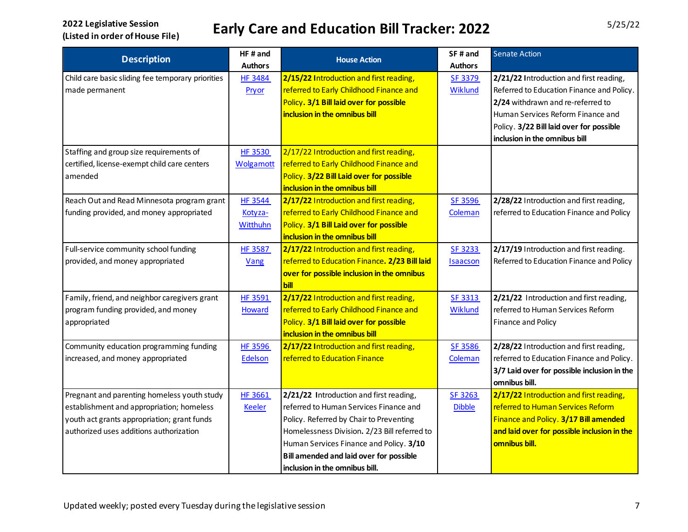| <b>Description</b>                                | HF# and          | <b>House Action</b>                            | SF# and         | <b>Senate Action</b>                        |
|---------------------------------------------------|------------------|------------------------------------------------|-----------------|---------------------------------------------|
|                                                   | <b>Authors</b>   |                                                | <b>Authors</b>  |                                             |
| Child care basic sliding fee temporary priorities | <b>HF 3484</b>   | 2/15/22 Introduction and first reading,        | SF 3379         | 2/21/22 Introduction and first reading,     |
| made permanent                                    | Pryor            | referred to Early Childhood Finance and        | Wiklund         | Referred to Education Finance and Policy.   |
|                                                   |                  | Policy. 3/1 Bill laid over for possible        |                 | 2/24 withdrawn and re-referred to           |
|                                                   |                  | inclusion in the omnibus bill                  |                 | Human Services Reform Finance and           |
|                                                   |                  |                                                |                 | Policy. 3/22 Bill laid over for possible    |
|                                                   |                  |                                                |                 | inclusion in the omnibus bill               |
| Staffing and group size requirements of           | HF 3530          | 2/17/22 Introduction and first reading,        |                 |                                             |
| certified, license-exempt child care centers      | <b>Wolgamott</b> | referred to Early Childhood Finance and        |                 |                                             |
| amended                                           |                  | Policy. 3/22 Bill Laid over for possible       |                 |                                             |
|                                                   |                  | inclusion in the omnibus bill                  |                 |                                             |
| Reach Out and Read Minnesota program grant        | <b>HF 3544</b>   | 2/17/22 Introduction and first reading,        | SF 3596         | 2/28/22 Introduction and first reading,     |
| funding provided, and money appropriated          | Kotyza-          | referred to Early Childhood Finance and        | Coleman         | referred to Education Finance and Policy    |
|                                                   | <b>Witthuhn</b>  | Policy. 3/1 Bill Laid over for possible        |                 |                                             |
|                                                   |                  | inclusion in the omnibus bill                  |                 |                                             |
| Full-service community school funding             | <b>HF 3587</b>   | 2/17/22 Introduction and first reading,        | <b>SF 3233</b>  | 2/17/19 Introduction and first reading.     |
| provided, and money appropriated                  | Vang             | referred to Education Finance. 2/23 Bill laid  | <b>Isaacson</b> | Referred to Education Finance and Policy    |
|                                                   |                  | over for possible inclusion in the omnibus     |                 |                                             |
|                                                   |                  | bill                                           |                 |                                             |
| Family, friend, and neighbor caregivers grant     | HF 3591          | 2/17/22 Introduction and first reading,        | SF 3313         | 2/21/22 Introduction and first reading,     |
| program funding provided, and money               | <b>Howard</b>    | referred to Early Childhood Finance and        | <b>Wiklund</b>  | referred to Human Services Reform           |
| appropriated                                      |                  | Policy. 3/1 Bill laid over for possible        |                 | Finance and Policy                          |
|                                                   |                  | inclusion in the omnibus bill                  |                 |                                             |
| Community education programming funding           | <b>HF 3596</b>   | 2/17/22 Introduction and first reading,        | SF 3586         | 2/28/22 Introduction and first reading,     |
| increased, and money appropriated                 | Edelson          | referred to Education Finance                  | Coleman         | referred to Education Finance and Policy.   |
|                                                   |                  |                                                |                 | 3/7 Laid over for possible inclusion in the |
|                                                   |                  |                                                |                 | omnibus bill.                               |
| Pregnant and parenting homeless youth study       | HF 3661          | 2/21/22 Introduction and first reading,        | SF 3263         | 2/17/22 Introduction and first reading,     |
| establishment and appropriation; homeless         | <b>Keeler</b>    | referred to Human Services Finance and         | <b>Dibble</b>   | referred to Human Services Reform           |
| youth act grants appropriation; grant funds       |                  | Policy. Referred by Chair to Preventing        |                 | Finance and Policy. 3/17 Bill amended       |
| authorized uses additions authorization           |                  | Homelessness Division. 2/23 Bill referred to   |                 | and laid over for possible inclusion in the |
|                                                   |                  | Human Services Finance and Policy. 3/10        |                 | omnibus bill.                               |
|                                                   |                  | <b>Bill amended and laid over for possible</b> |                 |                                             |
|                                                   |                  | inclusion in the omnibus bill.                 |                 |                                             |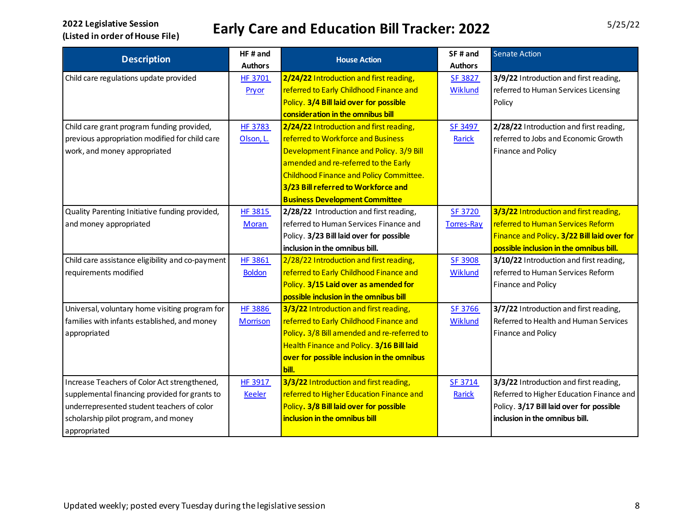| <b>Description</b>                               | HF# and         | <b>House Action</b>                            | SF# and        | <b>Senate Action</b>                        |
|--------------------------------------------------|-----------------|------------------------------------------------|----------------|---------------------------------------------|
|                                                  | <b>Authors</b>  |                                                | <b>Authors</b> |                                             |
| Child care regulations update provided           | HF 3701         | 2/24/22 Introduction and first reading,        | SF 3827        | 3/9/22 Introduction and first reading,      |
|                                                  | Pryor           | referred to Early Childhood Finance and        | Wiklund        | referred to Human Services Licensing        |
|                                                  |                 | Policy. 3/4 Bill laid over for possible        |                | Policy                                      |
|                                                  |                 | consideration in the omnibus bill              |                |                                             |
| Child care grant program funding provided,       | <b>HF 3783</b>  | 2/24/22 Introduction and first reading,        | SF 3497        | 2/28/22 Introduction and first reading,     |
| previous appropriation modified for child care   | Olson, L.       | referred to Workforce and Business             | Rarick         | referred to Jobs and Economic Growth        |
| work, and money appropriated                     |                 | Development Finance and Policy. 3/9 Bill       |                | Finance and Policy                          |
|                                                  |                 | amended and re-referred to the Early           |                |                                             |
|                                                  |                 | <b>Childhood Finance and Policy Committee.</b> |                |                                             |
|                                                  |                 | 3/23 Bill referred to Workforce and            |                |                                             |
|                                                  |                 | <b>Business Development Committee</b>          |                |                                             |
| Quality Parenting Initiative funding provided,   | <b>HF 3815</b>  | 2/28/22 Introduction and first reading,        | <b>SF 3720</b> | 3/3/22 Introduction and first reading,      |
| and money appropriated                           | Moran           | referred to Human Services Finance and         | Torres-Ray     | referred to Human Services Reform           |
|                                                  |                 | Policy. 3/23 Bill laid over for possible       |                | Finance and Policy. 3/22 Bill laid over for |
|                                                  |                 | inclusion in the omnibus bill.                 |                | possible inclusion in the omnibus bill.     |
| Child care assistance eligibility and co-payment | <b>HF 3861</b>  | 2/28/22 Introduction and first reading,        | SF 3908        | 3/10/22 Introduction and first reading,     |
| requirements modified                            | <b>Boldon</b>   | referred to Early Childhood Finance and        | Wiklund        | referred to Human Services Reform           |
|                                                  |                 | Policy. 3/15 Laid over as amended for          |                | Finance and Policy                          |
|                                                  |                 | possible inclusion in the omnibus bill         |                |                                             |
| Universal, voluntary home visiting program for   | <b>HF 3886</b>  | 3/3/22 Introduction and first reading,         | <b>SF 3766</b> | 3/7/22 Introduction and first reading,      |
| families with infants established, and money     | <b>Morrison</b> | referred to Early Childhood Finance and        | Wiklund        | Referred to Health and Human Services       |
| appropriated                                     |                 | Policy. 3/8 Bill amended and re-referred to    |                | Finance and Policy                          |
|                                                  |                 | Health Finance and Policy. 3/16 Bill laid      |                |                                             |
|                                                  |                 | over for possible inclusion in the omnibus     |                |                                             |
|                                                  |                 | bill.                                          |                |                                             |
| Increase Teachers of Color Act strengthened,     | HF 3917         | 3/3/22 Introduction and first reading,         | SF 3714        | 3/3/22 Introduction and first reading,      |
| supplemental financing provided for grants to    | <b>Keeler</b>   | referred to Higher Education Finance and       | Rarick         | Referred to Higher Education Finance and    |
| underrepresented student teachers of color       |                 | Policy. 3/8 Bill laid over for possible        |                | Policy. 3/17 Bill laid over for possible    |
| scholarship pilot program, and money             |                 | inclusion in the omnibus bill                  |                | inclusion in the omnibus bill.              |
| appropriated                                     |                 |                                                |                |                                             |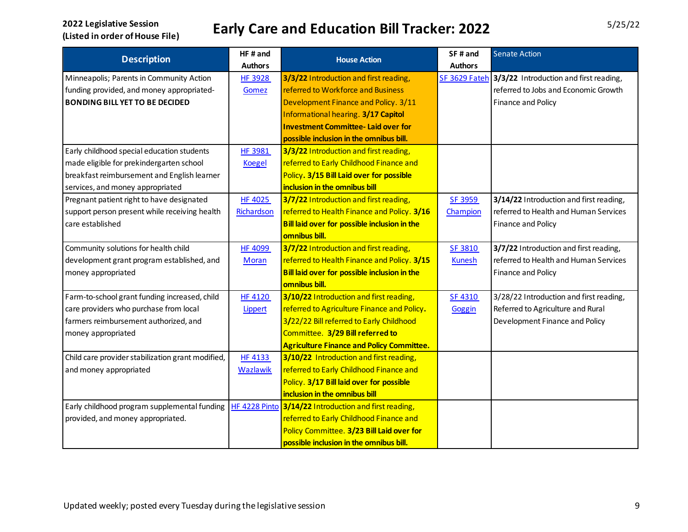| <b>Description</b>                                | HF# and         | <b>House Action</b>                                   | SF# and        | <b>Senate Action</b>                                 |
|---------------------------------------------------|-----------------|-------------------------------------------------------|----------------|------------------------------------------------------|
|                                                   | <b>Authors</b>  |                                                       | <b>Authors</b> |                                                      |
| Minneapolis; Parents in Community Action          | <b>HF 3928</b>  | 3/3/22 Introduction and first reading,                |                | SF 3629 Fateh 3/3/22 Introduction and first reading, |
| funding provided, and money appropriated-         | Gomez           | referred to Workforce and Business                    |                | referred to Jobs and Economic Growth                 |
| <b>BONDING BILL YET TO BE DECIDED</b>             |                 | Development Finance and Policy. 3/11                  |                | Finance and Policy                                   |
|                                                   |                 | Informational hearing. 3/17 Capitol                   |                |                                                      |
|                                                   |                 | <b>Investment Committee-Laid over for</b>             |                |                                                      |
|                                                   |                 | possible inclusion in the omnibus bill.               |                |                                                      |
| Early childhood special education students        | <b>HF 3981</b>  | 3/3/22 Introduction and first reading,                |                |                                                      |
| made eligible for prekindergarten school          | <b>Koegel</b>   | referred to Early Childhood Finance and               |                |                                                      |
| breakfast reimbursement and English learner       |                 | Policy. 3/15 Bill Laid over for possible              |                |                                                      |
| services, and money appropriated                  |                 | inclusion in the omnibus bill                         |                |                                                      |
| Pregnant patient right to have designated         | <b>HF 4025</b>  | 3/7/22 Introduction and first reading,                | SF 3959        | 3/14/22 Introduction and first reading,              |
| support person present while receiving health     | Richardson      | referred to Health Finance and Policy. 3/16           | Champion       | referred to Health and Human Services                |
| care established                                  |                 | Bill laid over for possible inclusion in the          |                | Finance and Policy                                   |
|                                                   |                 | omnibus bill.                                         |                |                                                      |
| Community solutions for health child              | <b>HF 4099</b>  | 3/7/22 Introduction and first reading,                | SF 3810        | 3/7/22 Introduction and first reading,               |
| development grant program established, and        | Moran           | referred to Health Finance and Policy. 3/15           | <b>Kunesh</b>  | referred to Health and Human Services                |
| money appropriated                                |                 | Bill laid over for possible inclusion in the          |                | Finance and Policy                                   |
|                                                   |                 | omnibus bill.                                         |                |                                                      |
| Farm-to-school grant funding increased, child     | <b>HF 4120</b>  | 3/10/22 Introduction and first reading,               | SF 4310        | 3/28/22 Introduction and first reading,              |
| care providers who purchase from local            | Lippert         | referred to Agriculture Finance and Policy.           | Goggin         | Referred to Agriculture and Rural                    |
| farmers reimbursement authorized, and             |                 | 3/22/22 Bill referred to Early Childhood              |                | Development Finance and Policy                       |
| money appropriated                                |                 | Committee. 3/29 Bill referred to                      |                |                                                      |
|                                                   |                 | <b>Agriculture Finance and Policy Committee.</b>      |                |                                                      |
| Child care provider stabilization grant modified, | <b>HF 4133</b>  | 3/10/22 Introduction and first reading,               |                |                                                      |
| and money appropriated                            | <b>Wazlawik</b> | referred to Early Childhood Finance and               |                |                                                      |
|                                                   |                 | Policy. 3/17 Bill laid over for possible              |                |                                                      |
|                                                   |                 | inclusion in the omnibus bill                         |                |                                                      |
| Early childhood program supplemental funding      |                 | HF 4228 Pinto 3/14/22 Introduction and first reading, |                |                                                      |
| provided, and money appropriated.                 |                 | referred to Early Childhood Finance and               |                |                                                      |
|                                                   |                 | Policy Committee. 3/23 Bill Laid over for             |                |                                                      |
|                                                   |                 | possible inclusion in the omnibus bill.               |                |                                                      |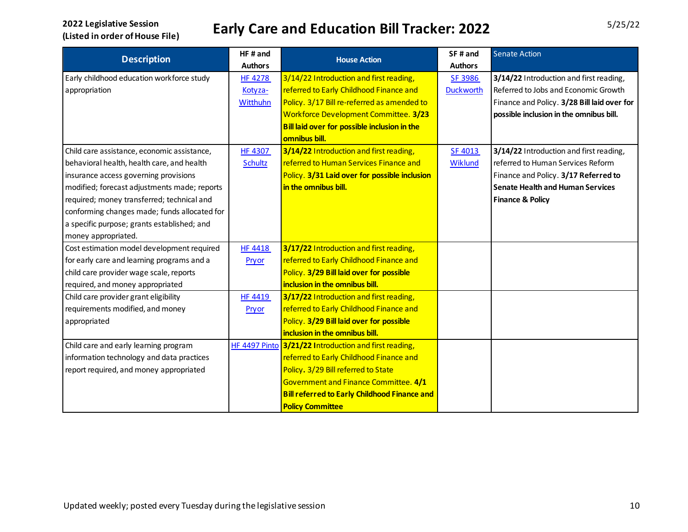| <b>Description</b>                           | HF# and        | <b>House Action</b>                                   | SF# and          | <b>Senate Action</b>                        |
|----------------------------------------------|----------------|-------------------------------------------------------|------------------|---------------------------------------------|
|                                              | <b>Authors</b> |                                                       | <b>Authors</b>   |                                             |
| Early childhood education workforce study    | <b>HF 4278</b> | 3/14/22 Introduction and first reading,               | SF 3986          | 3/14/22 Introduction and first reading,     |
| appropriation                                | Kotyza-        | referred to Early Childhood Finance and               | <b>Duckworth</b> | Referred to Jobs and Economic Growth        |
|                                              | Witthuhn       | Policy. 3/17 Bill re-referred as amended to           |                  | Finance and Policy. 3/28 Bill laid over for |
|                                              |                | Workforce Development Committee. 3/23                 |                  | possible inclusion in the omnibus bill.     |
|                                              |                | Bill laid over for possible inclusion in the          |                  |                                             |
|                                              |                | omnibus bill.                                         |                  |                                             |
| Child care assistance, economic assistance,  | <b>HF 4307</b> | 3/14/22 Introduction and first reading,               | SF 4013          | 3/14/22 Introduction and first reading,     |
| behavioral health, health care, and health   | <b>Schultz</b> | referred to Human Services Finance and                | Wiklund          | referred to Human Services Reform           |
| insurance access governing provisions        |                | Policy. 3/31 Laid over for possible inclusion         |                  | Finance and Policy. 3/17 Referred to        |
| modified; forecast adjustments made; reports |                | in the omnibus bill.                                  |                  | <b>Senate Health and Human Services</b>     |
| required; money transferred; technical and   |                |                                                       |                  | <b>Finance &amp; Policy</b>                 |
| conforming changes made; funds allocated for |                |                                                       |                  |                                             |
| a specific purpose; grants established; and  |                |                                                       |                  |                                             |
| money appropriated.                          |                |                                                       |                  |                                             |
| Cost estimation model development required   | <b>HF 4418</b> | 3/17/22 Introduction and first reading,               |                  |                                             |
| for early care and learning programs and a   | Pryor          | referred to Early Childhood Finance and               |                  |                                             |
| child care provider wage scale, reports      |                | Policy. 3/29 Bill laid over for possible              |                  |                                             |
| required, and money appropriated             |                | inclusion in the omnibus bill.                        |                  |                                             |
| Child care provider grant eligibility        | <b>HF 4419</b> | 3/17/22 Introduction and first reading,               |                  |                                             |
| requirements modified, and money             | Pryor          | referred to Early Childhood Finance and               |                  |                                             |
| appropriated                                 |                | Policy. 3/29 Bill laid over for possible              |                  |                                             |
|                                              |                | inclusion in the omnibus bill.                        |                  |                                             |
| Child care and early learning program        |                | HF 4497 Pinto 3/21/22 Introduction and first reading, |                  |                                             |
| information technology and data practices    |                | referred to Early Childhood Finance and               |                  |                                             |
| report required, and money appropriated      |                | Policy. 3/29 Bill referred to State                   |                  |                                             |
|                                              |                | Government and Finance Committee. 4/1                 |                  |                                             |
|                                              |                | <b>Bill referred to Early Childhood Finance and</b>   |                  |                                             |
|                                              |                | <b>Policy Committee</b>                               |                  |                                             |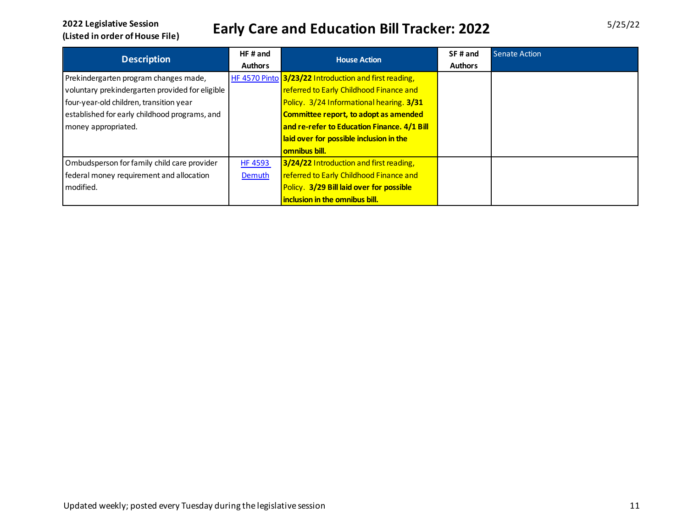| <b>Description</b>                              | $HF$ and       | <b>House Action</b>                                   | SF# and        | Senate Action |
|-------------------------------------------------|----------------|-------------------------------------------------------|----------------|---------------|
|                                                 | <b>Authors</b> |                                                       | <b>Authors</b> |               |
| Prekindergarten program changes made,           |                | HF 4570 Pinto 3/23/22 Introduction and first reading, |                |               |
| voluntary prekindergarten provided for eligible |                | referred to Early Childhood Finance and               |                |               |
| four-year-old children, transition year         |                | Policy. 3/24 Informational hearing. 3/31              |                |               |
| established for early childhood programs, and   |                | Committee report, to adopt as amended                 |                |               |
| money appropriated.                             |                | and re-refer to Education Finance. 4/1 Bill           |                |               |
|                                                 |                | laid over for possible inclusion in the               |                |               |
|                                                 |                | <b>omnibus bill.</b>                                  |                |               |
| Ombudsperson for family child care provider     | <b>HF 4593</b> | 3/24/22 Introduction and first reading,               |                |               |
| federal money requirement and allocation        | Demuth         | referred to Early Childhood Finance and               |                |               |
| modified.                                       |                | Policy. 3/29 Bill laid over for possible              |                |               |
|                                                 |                | inclusion in the omnibus bill.                        |                |               |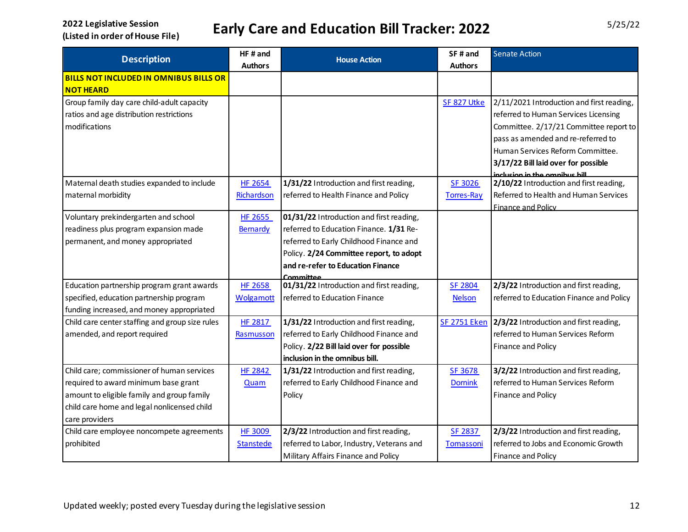| <b>Description</b>                              | HF# and          |                                                       | SF# and             | <b>Senate Action</b>                      |
|-------------------------------------------------|------------------|-------------------------------------------------------|---------------------|-------------------------------------------|
|                                                 | <b>Authors</b>   | <b>House Action</b>                                   | <b>Authors</b>      |                                           |
| <b>BILLS NOT INCLUDED IN OMNIBUS BILLS OR</b>   |                  |                                                       |                     |                                           |
| <b>NOT HEARD</b>                                |                  |                                                       |                     |                                           |
| Group family day care child-adult capacity      |                  |                                                       | SF 827 Utke         | 2/11/2021 Introduction and first reading, |
| ratios and age distribution restrictions        |                  |                                                       |                     | referred to Human Services Licensing      |
| modifications                                   |                  |                                                       |                     | Committee. 2/17/21 Committee report to    |
|                                                 |                  |                                                       |                     | pass as amended and re-referred to        |
|                                                 |                  |                                                       |                     | Human Services Reform Committee.          |
|                                                 |                  |                                                       |                     | 3/17/22 Bill laid over for possible       |
|                                                 |                  |                                                       |                     | inclusion in the omnibus bill             |
| Maternal death studies expanded to include      | <b>HF 2654</b>   | 1/31/22 Introduction and first reading,               | SF 3026             | 2/10/22 Introduction and first reading,   |
| maternal morbidity                              | Richardson       | referred to Health Finance and Policy                 | <b>Torres-Ray</b>   | Referred to Health and Human Services     |
|                                                 |                  |                                                       |                     | Finance and Policy                        |
| Voluntary prekindergarten and school            | HF 2655          | 01/31/22 Introduction and first reading,              |                     |                                           |
| readiness plus program expansion made           | Bernardy         | referred to Education Finance. 1/31 Re-               |                     |                                           |
| permanent, and money appropriated               |                  | referred to Early Childhood Finance and               |                     |                                           |
|                                                 |                  | Policy. 2/24 Committee report, to adopt               |                     |                                           |
|                                                 |                  | and re-refer to Education Finance                     |                     |                                           |
|                                                 | <b>HF 2658</b>   | Committee<br>01/31/22 Introduction and first reading, | <b>SF 2804</b>      | 2/3/22 Introduction and first reading,    |
| Education partnership program grant awards      |                  |                                                       |                     |                                           |
| specified, education partnership program        | <b>Wolgamott</b> | referred to Education Finance                         | <b>Nelson</b>       | referred to Education Finance and Policy  |
| funding increased, and money appropriated       |                  |                                                       |                     |                                           |
| Child care center staffing and group size rules | <b>HF 2817</b>   | 1/31/22 Introduction and first reading,               | <b>SF 2751 Eken</b> | 2/3/22 Introduction and first reading,    |
| amended, and report required                    | Rasmusson        | referred to Early Childhood Finance and               |                     | referred to Human Services Reform         |
|                                                 |                  | Policy. 2/22 Bill laid over for possible              |                     | Finance and Policy                        |
|                                                 |                  | inclusion in the omnibus bill.                        |                     |                                           |
| Child care; commissioner of human services      | <b>HF 2842</b>   | 1/31/22 Introduction and first reading,               | SF 3678             | 3/2/22 Introduction and first reading,    |
| required to award minimum base grant            | Quam             | referred to Early Childhood Finance and               | <b>Dornink</b>      | referred to Human Services Reform         |
| amount to eligible family and group family      |                  | Policy                                                |                     | Finance and Policy                        |
| child care home and legal nonlicensed child     |                  |                                                       |                     |                                           |
| care providers                                  |                  |                                                       |                     |                                           |
| Child care employee noncompete agreements       | <b>HF 3009</b>   | 2/3/22 Introduction and first reading,                | SF 2837             | 2/3/22 Introduction and first reading,    |
| prohibited                                      | <b>Stanstede</b> | referred to Labor, Industry, Veterans and             | Tomassoni           | referred to Jobs and Economic Growth      |
|                                                 |                  | Military Affairs Finance and Policy                   |                     | Finance and Policy                        |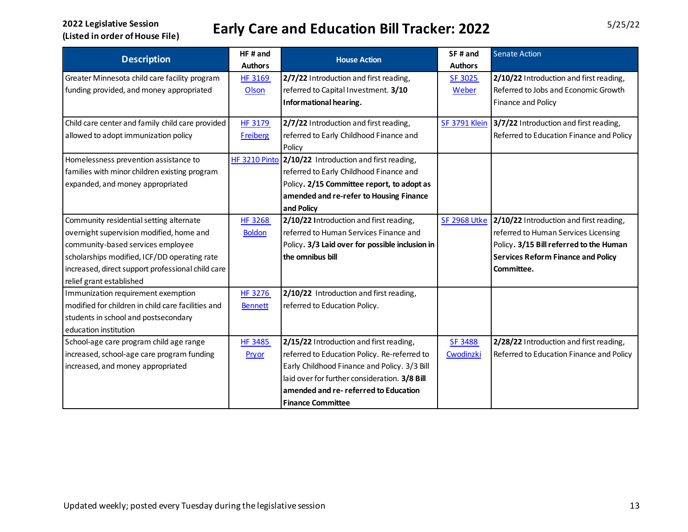| <b>Description</b>                                 | HF# and<br><b>Authors</b> | <b>House Action</b>                                   | SF# and<br><b>Authors</b> | <b>Senate Action</b>                      |
|----------------------------------------------------|---------------------------|-------------------------------------------------------|---------------------------|-------------------------------------------|
| Greater Minnesota child care facility program      | <b>HF 3169</b>            | 2/7/22 Introduction and first reading,                | SF 3025                   | 2/10/22 Introduction and first reading,   |
| funding provided, and money appropriated           | Olson                     | referred to Capital Investment. 3/10                  | Weber                     | Referred to Jobs and Economic Growth      |
|                                                    |                           | Informational hearing.                                |                           | Finance and Policy                        |
|                                                    |                           |                                                       |                           |                                           |
| Child care center and family child care provided   | <b>HF 3179</b>            | 2/7/22 Introduction and first reading,                | <b>SF 3791 Klein</b>      | 3/7/22 Introduction and first reading,    |
| allowed to adopt immunization policy               | <b>Freiberg</b>           | referred to Early Childhood Finance and               |                           | Referred to Education Finance and Policy  |
|                                                    |                           | Policy                                                |                           |                                           |
| Homelessness prevention assistance to              |                           | HF 3210 Pinto 2/10/22 Introduction and first reading, |                           |                                           |
| families with minor children existing program      |                           | referred to Early Childhood Finance and               |                           |                                           |
| expanded, and money appropriated                   |                           | Policy. 2/15 Committee report, to adopt as            |                           |                                           |
|                                                    |                           | amended and re-refer to Housing Finance               |                           |                                           |
|                                                    |                           | and Policy                                            |                           |                                           |
| Community residential setting alternate            | HF 3268                   | 2/10/22 Introduction and first reading,               | <b>SF 2968 Utke</b>       | 2/10/22 Introduction and first reading,   |
| overnight supervision modified, home and           | <b>Boldon</b>             | referred to Human Services Finance and                |                           | referred to Human Services Licensing      |
| community-based services employee                  |                           | Policy. 3/3 Laid over for possible inclusion in       |                           | Policy. 3/15 Bill referred to the Human   |
| scholarships modified, ICF/DD operating rate       |                           | the omnibus bill                                      |                           | <b>Services Reform Finance and Policy</b> |
| increased, direct support professional child care  |                           |                                                       |                           | Committee.                                |
| relief grant established                           |                           |                                                       |                           |                                           |
| Immunization requirement exemption                 | <b>HF 3276</b>            | 2/10/22 Introduction and first reading,               |                           |                                           |
| modified for children in child care facilities and | <b>Bennett</b>            | referred to Education Policy.                         |                           |                                           |
| students in school and postsecondary               |                           |                                                       |                           |                                           |
| education institution                              |                           |                                                       |                           |                                           |
| School-age care program child age range            | <b>HF 3485</b>            | 2/15/22 Introduction and first reading,               | <b>SF 3488</b>            | 2/28/22 Introduction and first reading,   |
| increased, school-age care program funding         | Pryor                     | referred to Education Policy. Re-referred to          | Cwodinzki                 | Referred to Education Finance and Policy  |
| increased, and money appropriated                  |                           | Early Childhood Finance and Policy. 3/3 Bill          |                           |                                           |
|                                                    |                           | laid over for further consideration. 3/8 Bill         |                           |                                           |
|                                                    |                           | amended and re-referred to Education                  |                           |                                           |
|                                                    |                           | <b>Finance Committee</b>                              |                           |                                           |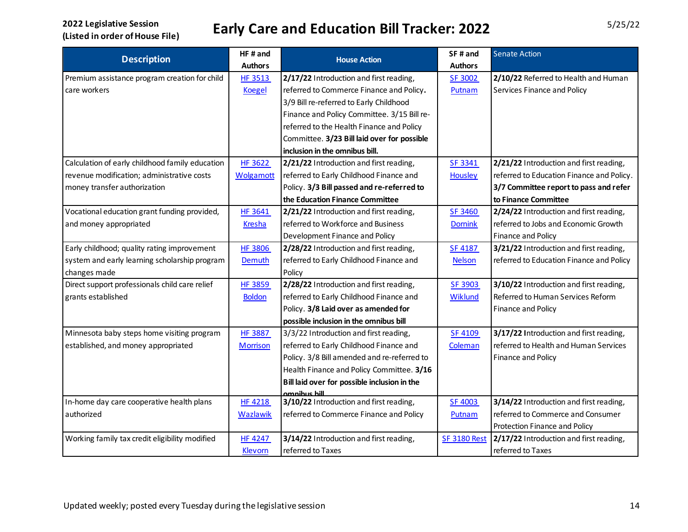| <b>Description</b>                              | HF#and           | <b>House Action</b>                          | SF# and             | <b>Senate Action</b>                      |
|-------------------------------------------------|------------------|----------------------------------------------|---------------------|-------------------------------------------|
|                                                 | <b>Authors</b>   |                                              | <b>Authors</b>      |                                           |
| Premium assistance program creation for child   | <b>HF 3513</b>   | 2/17/22 Introduction and first reading,      | <b>SF 3002</b>      | 2/10/22 Referred to Health and Human      |
| care workers                                    | <b>Koegel</b>    | referred to Commerce Finance and Policy.     | Putnam              | Services Finance and Policy               |
|                                                 |                  | 3/9 Bill re-referred to Early Childhood      |                     |                                           |
|                                                 |                  | Finance and Policy Committee. 3/15 Bill re-  |                     |                                           |
|                                                 |                  | referred to the Health Finance and Policy    |                     |                                           |
|                                                 |                  | Committee. 3/23 Bill laid over for possible  |                     |                                           |
|                                                 |                  | inclusion in the omnibus bill.               |                     |                                           |
| Calculation of early childhood family education | <b>HF 3622</b>   | 2/21/22 Introduction and first reading,      | SF 3341             | 2/21/22 Introduction and first reading,   |
| revenue modification; administrative costs      | <b>Wolgamott</b> | referred to Early Childhood Finance and      | Housley             | referred to Education Finance and Policy. |
| money transfer authorization                    |                  | Policy. 3/3 Bill passed and re-referred to   |                     | 3/7 Committee report to pass and refer    |
|                                                 |                  | the Education Finance Committee              |                     | to Finance Committee                      |
| Vocational education grant funding provided,    | <b>HF 3641</b>   | 2/21/22 Introduction and first reading,      | <b>SF 3460</b>      | 2/24/22 Introduction and first reading,   |
| and money appropriated                          | <b>Kresha</b>    | referred to Workforce and Business           | <b>Dornink</b>      | referred to Jobs and Economic Growth      |
|                                                 |                  | Development Finance and Policy               |                     | Finance and Policy                        |
| Early childhood; quality rating improvement     | <b>HF 3806</b>   | 2/28/22 Introduction and first reading,      | <b>SF 4187</b>      | 3/21/22 Introduction and first reading,   |
| system and early learning scholarship program   | Demuth           | referred to Early Childhood Finance and      | <b>Nelson</b>       | referred to Education Finance and Policy  |
| changes made                                    |                  | Policy                                       |                     |                                           |
| Direct support professionals child care relief  | <b>HF 3859</b>   | 2/28/22 Introduction and first reading,      | SF 3903             | 3/10/22 Introduction and first reading,   |
| grants established                              | <b>Boldon</b>    | referred to Early Childhood Finance and      | Wiklund             | Referred to Human Services Reform         |
|                                                 |                  | Policy. 3/8 Laid over as amended for         |                     | Finance and Policy                        |
|                                                 |                  | possible inclusion in the omnibus bill       |                     |                                           |
| Minnesota baby steps home visiting program      | <b>HF 3887</b>   | 3/3/22 Introduction and first reading,       | <b>SF 4109</b>      | 3/17/22 Introduction and first reading,   |
| established, and money appropriated             | <b>Morrison</b>  | referred to Early Childhood Finance and      | Coleman             | referred to Health and Human Services     |
|                                                 |                  | Policy. 3/8 Bill amended and re-referred to  |                     | Finance and Policy                        |
|                                                 |                  | Health Finance and Policy Committee. 3/16    |                     |                                           |
|                                                 |                  | Bill laid over for possible inclusion in the |                     |                                           |
|                                                 |                  | amnihus hill                                 |                     |                                           |
| In-home day care cooperative health plans       | <b>HF 4218</b>   | 3/10/22 Introduction and first reading,      | <b>SF 4003</b>      | 3/14/22 Introduction and first reading,   |
| authorized                                      | <b>Wazlawik</b>  | referred to Commerce Finance and Policy      | Putnam              | referred to Commerce and Consumer         |
|                                                 |                  |                                              |                     | Protection Finance and Policy             |
| Working family tax credit eligibility modified  | <b>HF 4247</b>   | 3/14/22 Introduction and first reading,      | <b>SF 3180 Rest</b> | 2/17/22 Introduction and first reading,   |
|                                                 | Klevorn          | referred to Taxes                            |                     | referred to Taxes                         |